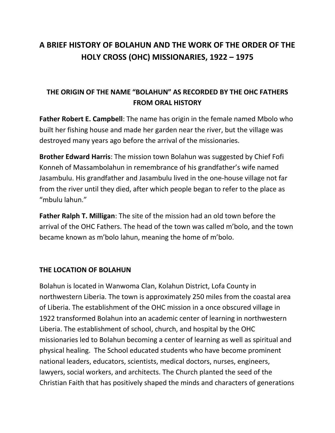# **A BRIEF HISTORY OF BOLAHUN AND THE WORK OF THE ORDER OF THE HOLY CROSS (OHC) MISSIONARIES, 1922 – 1975**

# **THE ORIGIN OF THE NAME "BOLAHUN" AS RECORDED BY THE OHC FATHERS FROM ORAL HISTORY**

**Father Robert E. Campbell**: The name has origin in the female named Mbolo who built her fishing house and made her garden near the river, but the village was destroyed many years ago before the arrival of the missionaries.

**Brother Edward Harris**: The mission town Bolahun was suggested by Chief Fofi Konneh of Massambolahun in remembrance of his grandfather's wife named Jasambulu. His grandfather and Jasambulu lived in the one-house village not far from the river until they died, after which people began to refer to the place as "mbulu lahun."

**Father Ralph T. Milligan**: The site of the mission had an old town before the arrival of the OHC Fathers. The head of the town was called m'bolo, and the town became known as m'bolo lahun, meaning the home of m'bolo.

#### **THE LOCATION OF BOLAHUN**

Bolahun is located in Wanwoma Clan, Kolahun District, Lofa County in northwestern Liberia. The town is approximately 250 miles from the coastal area of Liberia. The establishment of the OHC mission in a once obscured village in 1922 transformed Bolahun into an academic center of learning in northwestern Liberia. The establishment of school, church, and hospital by the OHC missionaries led to Bolahun becoming a center of learning as well as spiritual and physical healing. The School educated students who have become prominent national leaders, educators, scientists, medical doctors, nurses, engineers, lawyers, social workers, and architects. The Church planted the seed of the Christian Faith that has positively shaped the minds and characters of generations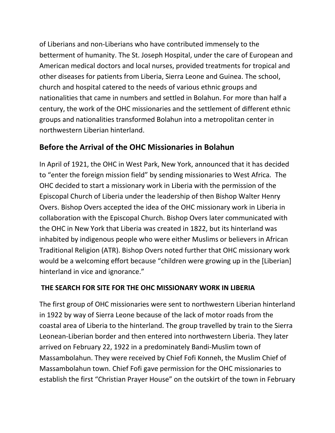of Liberians and non-Liberians who have contributed immensely to the betterment of humanity. The St. Joseph Hospital, under the care of European and American medical doctors and local nurses, provided treatments for tropical and other diseases for patients from Liberia, Sierra Leone and Guinea. The school, church and hospital catered to the needs of various ethnic groups and nationalities that came in numbers and settled in Bolahun. For more than half a century, the work of the OHC missionaries and the settlement of different ethnic groups and nationalities transformed Bolahun into a metropolitan center in northwestern Liberian hinterland.

# **Before the Arrival of the OHC Missionaries in Bolahun**

In April of 1921, the OHC in West Park, New York, announced that it has decided to "enter the foreign mission field" by sending missionaries to West Africa. The OHC decided to start a missionary work in Liberia with the permission of the Episcopal Church of Liberia under the leadership of then Bishop Walter Henry Overs. Bishop Overs accepted the idea of the OHC missionary work in Liberia in collaboration with the Episcopal Church. Bishop Overs later communicated with the OHC in New York that Liberia was created in 1822, but its hinterland was inhabited by indigenous people who were either Muslims or believers in African Traditional Religion (ATR). Bishop Overs noted further that OHC missionary work would be a welcoming effort because "children were growing up in the [Liberian] hinterland in vice and ignorance."

## **THE SEARCH FOR SITE FOR THE OHC MISSIONARY WORK IN LIBERIA**

The first group of OHC missionaries were sent to northwestern Liberian hinterland in 1922 by way of Sierra Leone because of the lack of motor roads from the coastal area of Liberia to the hinterland. The group travelled by train to the Sierra Leonean-Liberian border and then entered into northwestern Liberia. They later arrived on February 22, 1922 in a predominately Bandi-Muslim town of Massambolahun. They were received by Chief Fofi Konneh, the Muslim Chief of Massambolahun town. Chief Fofi gave permission for the OHC missionaries to establish the first "Christian Prayer House" on the outskirt of the town in February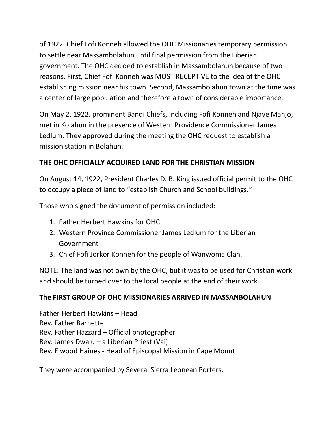of 1922. Chief Fofi Konneh allowed the OHC Missionaries temporary permission to settle near Massambolahun until final permission from the Liberian government. The OHC decided to establish in Massambolahun because of two reasons. First, Chief Fofi Konneh was MOST RECEPTIVE to the idea of the OHC establishing mission near his town. Second, Massambolahun town at the time was a center of large population and therefore a town of considerable importance.

On May 2, 1922, prominent Bandi Chiefs, including Fofi Konneh and Njave Manjo, met in Kolahun in the presence of Western Providence Commissioner James Ledlum. They approved during the meeting the OHC request to establish a mission station in Bolahun.

## **THE OHC OFFICIALLY ACQUIRED LAND FOR THE CHRISTIAN MISSION**

On August 14, 1922, President Charles D. B. King issued official permit to the OHC to occupy a piece of land to "establish Church and School buildings."

Those who signed the document of permission included:

- 1. Father Herbert Hawkins for OHC
- 2. Western Province Commissioner James Ledlum for the Liberian Government
- 3. Chief Fofi Jorkor Konneh for the people of Wanwoma Clan.

NOTE: The land was not own by the OHC, but it was to be used for Christian work and should be turned over to the local people at the end of their work.

## **The FIRST GROUP OF OHC MISSIONARIES ARRIVED IN MASSANBOLAHUN**

Father Herbert Hawkins – Head Rev. Father Barnette Rev. Father Hazzard – Official photographer Rev. James Dwalu – a Liberian Priest (Vai) Rev. Elwood Haines - Head of Episcopal Mission in Cape Mount

They were accompanied by Several Sierra Leonean Porters.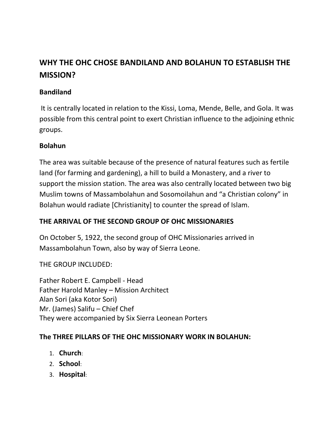# **WHY THE OHC CHOSE BANDILAND AND BOLAHUN TO ESTABLISH THE MISSION?**

### **Bandiland**

It is centrally located in relation to the Kissi, Loma, Mende, Belle, and Gola. It was possible from this central point to exert Christian influence to the adjoining ethnic groups.

#### **Bolahun**

The area was suitable because of the presence of natural features such as fertile land (for farming and gardening), a hill to build a Monastery, and a river to support the mission station. The area was also centrally located between two big Muslim towns of Massambolahun and Sosomoilahun and "a Christian colony" in Bolahun would radiate [Christianity] to counter the spread of Islam.

## **THE ARRIVAL OF THE SECOND GROUP OF OHC MISSIONARIES**

On October 5, 1922, the second group of OHC Missionaries arrived in Massambolahun Town, also by way of Sierra Leone.

THE GROUP INCLUDED:

Father Robert E. Campbell - Head Father Harold Manley – Mission Architect Alan Sori (aka Kotor Sori) Mr. (James) Salifu – Chief Chef They were accompanied by Six Sierra Leonean Porters

#### **The THREE PILLARS OF THE OHC MISSIONARY WORK IN BOLAHUN:**

- 1. **Church**:
- 2. **School**:
- 3. **Hospital**: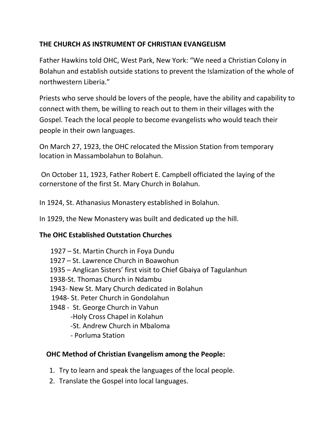## **THE CHURCH AS INSTRUMENT OF CHRISTIAN EVANGELISM**

Father Hawkins told OHC, West Park, New York: "We need a Christian Colony in Bolahun and establish outside stations to prevent the Islamization of the whole of northwestern Liberia."

Priests who serve should be lovers of the people, have the ability and capability to connect with them, be willing to reach out to them in their villages with the Gospel. Teach the local people to become evangelists who would teach their people in their own languages.

On March 27, 1923, the OHC relocated the Mission Station from temporary location in Massambolahun to Bolahun.

On October 11, 1923, Father Robert E. Campbell officiated the laying of the cornerstone of the first St. Mary Church in Bolahun.

In 1924, St. Athanasius Monastery established in Bolahun.

In 1929, the New Monastery was built and dedicated up the hill.

#### **The OHC Established Outstation Churches**

- 1927 St. Martin Church in Foya Dundu
- 1927 St. Lawrence Church in Boawohun
- 1935 Anglican Sisters' first visit to Chief Gbaiya of Tagulanhun
- 1938-St. Thomas Church in Ndambu
- 1943- New St. Mary Church dedicated in Bolahun
- 1948- St. Peter Church in Gondolahun
- 1948 St. George Church in Vahun
	- -Holy Cross Chapel in Kolahun
	- -St. Andrew Church in Mbaloma
	- Porluma Station

## **OHC Method of Christian Evangelism among the People:**

- 1. Try to learn and speak the languages of the local people.
- 2. Translate the Gospel into local languages.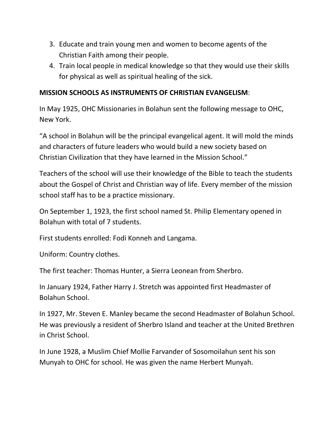- 3. Educate and train young men and women to become agents of the Christian Faith among their people.
- 4. Train local people in medical knowledge so that they would use their skills for physical as well as spiritual healing of the sick.

#### **MISSION SCHOOLS AS INSTRUMENTS OF CHRISTIAN EVANGELISM**:

In May 1925, OHC Missionaries in Bolahun sent the following message to OHC, New York.

"A school in Bolahun will be the principal evangelical agent. It will mold the minds and characters of future leaders who would build a new society based on Christian Civilization that they have learned in the Mission School."

Teachers of the school will use their knowledge of the Bible to teach the students about the Gospel of Christ and Christian way of life. Every member of the mission school staff has to be a practice missionary.

On September 1, 1923, the first school named St. Philip Elementary opened in Bolahun with total of 7 students.

First students enrolled: Fodi Konneh and Langama.

Uniform: Country clothes.

The first teacher: Thomas Hunter, a Sierra Leonean from Sherbro.

In January 1924, Father Harry J. Stretch was appointed first Headmaster of Bolahun School.

In 1927, Mr. Steven E. Manley became the second Headmaster of Bolahun School. He was previously a resident of Sherbro Island and teacher at the United Brethren in Christ School.

In June 1928, a Muslim Chief Mollie Farvander of Sosomoilahun sent his son Munyah to OHC for school. He was given the name Herbert Munyah.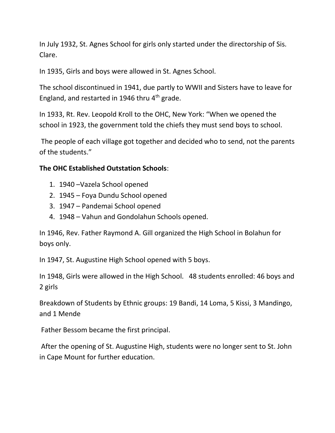In July 1932, St. Agnes School for girls only started under the directorship of Sis. Clare.

In 1935, Girls and boys were allowed in St. Agnes School.

The school discontinued in 1941, due partly to WWII and Sisters have to leave for England, and restarted in 1946 thru  $4<sup>th</sup>$  grade.

In 1933, Rt. Rev. Leopold Kroll to the OHC, New York: "When we opened the school in 1923, the government told the chiefs they must send boys to school.

The people of each village got together and decided who to send, not the parents of the students."

## **The OHC Established Outstation Schools**:

- 1. 1940 –Vazela School opened
- 2. 1945 Foya Dundu School opened
- 3. 1947 Pandemai School opened
- 4. 1948 Vahun and Gondolahun Schools opened.

In 1946, Rev. Father Raymond A. Gill organized the High School in Bolahun for boys only.

In 1947, St. Augustine High School opened with 5 boys.

In 1948, Girls were allowed in the High School. 48 students enrolled: 46 boys and 2 girls

Breakdown of Students by Ethnic groups: 19 Bandi, 14 Loma, 5 Kissi, 3 Mandingo, and 1 Mende

Father Bessom became the first principal.

After the opening of St. Augustine High, students were no longer sent to St. John in Cape Mount for further education.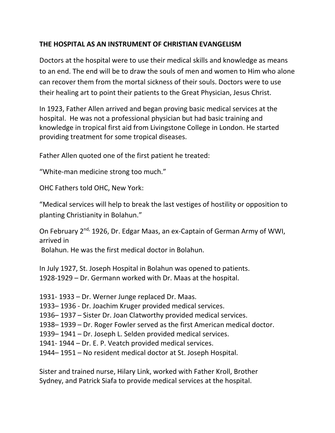## **THE HOSPITAL AS AN INSTRUMENT OF CHRISTIAN EVANGELISM**

Doctors at the hospital were to use their medical skills and knowledge as means to an end. The end will be to draw the souls of men and women to Him who alone can recover them from the mortal sickness of their souls. Doctors were to use their healing art to point their patients to the Great Physician, Jesus Christ.

In 1923, Father Allen arrived and began proving basic medical services at the hospital. He was not a professional physician but had basic training and knowledge in tropical first aid from Livingstone College in London. He started providing treatment for some tropical diseases.

Father Allen quoted one of the first patient he treated:

"White-man medicine strong too much."

OHC Fathers told OHC, New York:

"Medical services will help to break the last vestiges of hostility or opposition to planting Christianity in Bolahun."

On February 2<sup>nd,</sup> 1926, Dr. Edgar Maas, an ex-Captain of German Army of WWI, arrived in

Bolahun. He was the first medical doctor in Bolahun.

In July 1927, St. Joseph Hospital in Bolahun was opened to patients. 1928-1929 – Dr. Germann worked with Dr. Maas at the hospital.

1931- 1933 – Dr. Werner Junge replaced Dr. Maas. – 1936 - Dr. Joachim Kruger provided medical services. – 1937 – Sister Dr. Joan Clatworthy provided medical services. – 1939 – Dr. Roger Fowler served as the first American medical doctor. – 1941 – Dr. Joseph L. Selden provided medical services. 1941- 1944 – Dr. E. P. Veatch provided medical services. – 1951 – No resident medical doctor at St. Joseph Hospital.

Sister and trained nurse, Hilary Link, worked with Father Kroll, Brother Sydney, and Patrick Siafa to provide medical services at the hospital.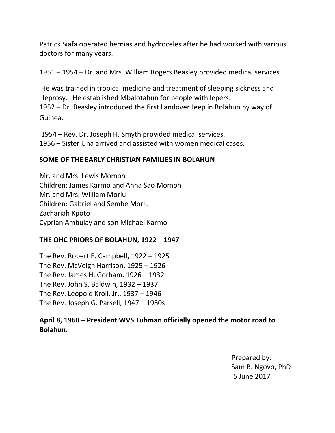Patrick Siafa operated hernias and hydroceles after he had worked with various doctors for many years.

1951 – 1954 – Dr. and Mrs. William Rogers Beasley provided medical services.

He was trained in tropical medicine and treatment of sleeping sickness and leprosy. He established Mbalotahun for people with lepers. 1952 – Dr. Beasley introduced the first Landover Jeep in Bolahun by way of Guinea.

1954 – Rev. Dr. Joseph H. Smyth provided medical services. 1956 – Sister Una arrived and assisted with women medical cases.

#### **SOME OF THE EARLY CHRISTIAN FAMILIES IN BOLAHUN**

Mr. and Mrs. Lewis Momoh Children: James Karmo and Anna Sao Momoh Mr. and Mrs. William Morlu Children: Gabriel and Sembe Morlu Zachariah Kpoto Cyprian Ambulay and son Michael Karmo

#### **THE OHC PRIORS OF BOLAHUN, 1922 – 1947**

The Rev. Robert E. Campbell, 1922 – 1925 The Rev. McVeigh Harrison, 1925 – 1926 The Rev. James H. Gorham, 1926 – 1932 The Rev. John S. Baldwin, 1932 – 1937 The Rev. Leopold Kroll, Jr., 1937 – 1946 The Rev. Joseph G. Parsell, 1947 – 1980s

## **April 8, 1960 – President WVS Tubman officially opened the motor road to Bolahun.**

Prepared by: Sam B. Ngovo, PhD 5 June 2017